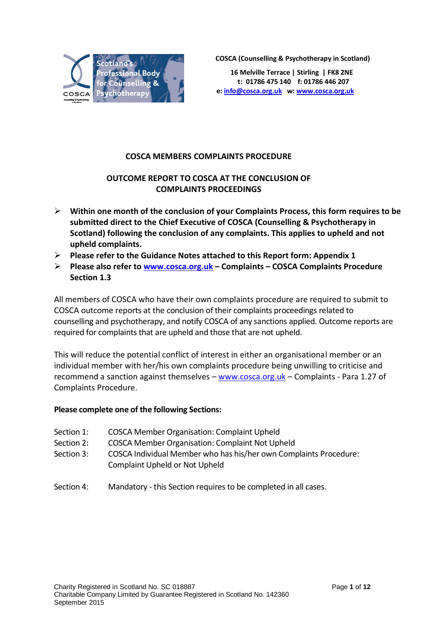

**COSCA (Counselling & Psychotherapy in Scotland)**

**16 Melville Terrace | Stirling | FK8 2NE t: 01786 475 140 f: 01786 446 207 e[: info@cosca.org.uk](mailto:info@cosca.org.uk) w[: www.cosca.org.uk](http://www.cosca.org.uk/)**

# **COSCA MEMBERS COMPLAINTS PROCEDURE**

# **OUTCOME REPORT TO COSCA AT THE CONCLUSION OF COMPLAINTS PROCEEDINGS**

- **Within one month of the conclusion of your Complaints Process, this form requires to be submitted direct to the Chief Executive of COSCA (Counselling & Psychotherapy in Scotland) following the conclusion of any complaints. This applies to upheld and not upheld complaints.**
- **Please refer to the Guidance Notes attached to this Report form: Appendix 1**
- **Please also refer to [www.cosca.org.uk](http://www.cosca.org.uk/) – Complaints – COSCA Complaints Procedure Section 1.3**

All members of COSCA who have their own complaints procedure are required to submit to COSCA outcome reports at the conclusion of their complaints proceedings related to counselling and psychotherapy, and notify COSCA of any sanctions applied. Outcome reports are required for complaints that are upheld and those that are not upheld.

This will reduce the potential conflict of interest in either an organisational member or an individual member with her/his own complaints procedure being unwilling to criticise and recommend a sanction against themselves – [www.cosca.org.uk](http://www.cosca.org.uk/) – Complaints - Para 1.27 of Complaints Procedure.

## **Please complete one of the following Sections:**

- Section 1: COSCA Member Organisation: Complaint Upheld
- Section 2: COSCA Member Organisation: Complaint Not Upheld
- Section 3: COSCA Individual Member who has his/her own Complaints Procedure: Complaint Upheld or Not Upheld
- Section 4: Mandatory this Section requires to be completed in all cases.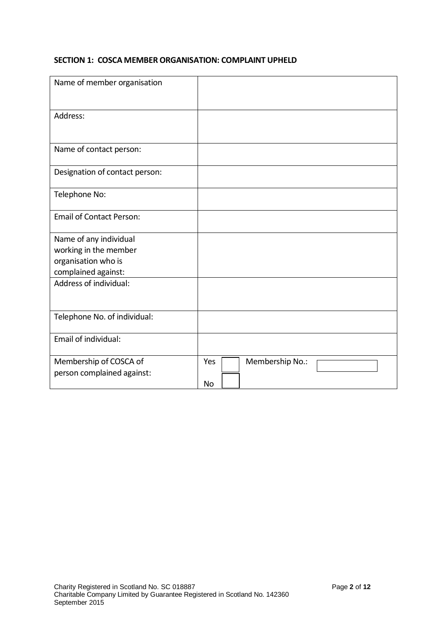#### **SECTION 1: COSCA MEMBER ORGANISATION: COMPLAINT UPHELD**

| Name of member organisation                          |                              |
|------------------------------------------------------|------------------------------|
| Address:                                             |                              |
| Name of contact person:                              |                              |
| Designation of contact person:                       |                              |
| Telephone No:                                        |                              |
| <b>Email of Contact Person:</b>                      |                              |
| Name of any individual                               |                              |
| working in the member                                |                              |
| organisation who is                                  |                              |
| complained against:                                  |                              |
| Address of individual:                               |                              |
| Telephone No. of individual:                         |                              |
| Email of individual:                                 |                              |
| Membership of COSCA of<br>person complained against: | Membership No.:<br>Yes<br>No |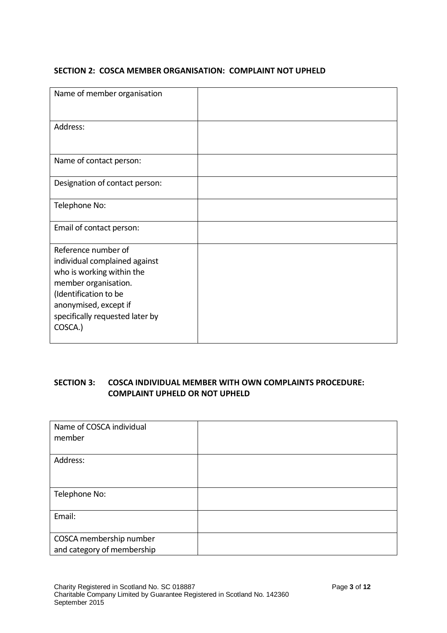#### **SECTION 2: COSCA MEMBER ORGANISATION: COMPLAINT NOT UPHELD**

| Name of member organisation                                                                                                                                                                               |  |
|-----------------------------------------------------------------------------------------------------------------------------------------------------------------------------------------------------------|--|
| Address:                                                                                                                                                                                                  |  |
| Name of contact person:                                                                                                                                                                                   |  |
| Designation of contact person:                                                                                                                                                                            |  |
| Telephone No:                                                                                                                                                                                             |  |
| Email of contact person:                                                                                                                                                                                  |  |
| Reference number of<br>individual complained against<br>who is working within the<br>member organisation.<br>(Identification to be<br>anonymised, except if<br>specifically requested later by<br>COSCA.) |  |

## **SECTION 3: COSCA INDIVIDUAL MEMBER WITH OWN COMPLAINTS PROCEDURE: COMPLAINT UPHELD OR NOT UPHELD**

| Name of COSCA individual<br>member                    |  |
|-------------------------------------------------------|--|
| Address:                                              |  |
| Telephone No:                                         |  |
| Email:                                                |  |
| COSCA membership number<br>and category of membership |  |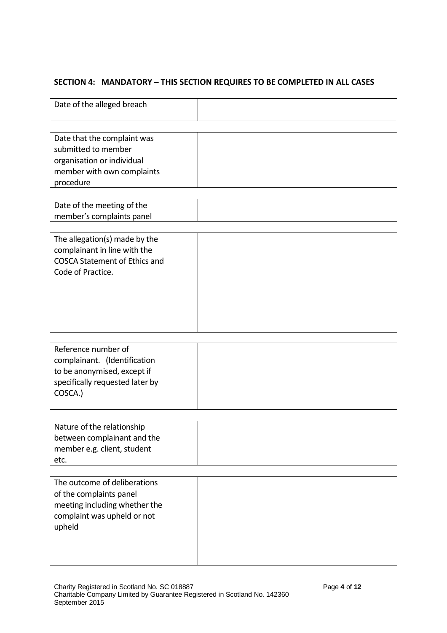# **SECTION 4: MANDATORY – THIS SECTION REQUIRES TO BE COMPLETED IN ALL CASES**

| Date of the alleged breach                                                                                                        |  |
|-----------------------------------------------------------------------------------------------------------------------------------|--|
| Date that the complaint was<br>submitted to member<br>organisation or individual<br>member with own complaints<br>procedure       |  |
| Date of the meeting of the<br>member's complaints panel                                                                           |  |
| The allegation(s) made by the<br>complainant in line with the<br><b>COSCA Statement of Ethics and</b><br>Code of Practice.        |  |
| Reference number of<br>complainant. (Identification<br>to be anonymised, except if<br>specifically requested later by<br>COSCA.)  |  |
| Nature of the relationship<br>between complainant and the<br>member e.g. client, student<br>etc.                                  |  |
| The outcome of deliberations<br>of the complaints panel<br>meeting including whether the<br>complaint was upheld or not<br>upheld |  |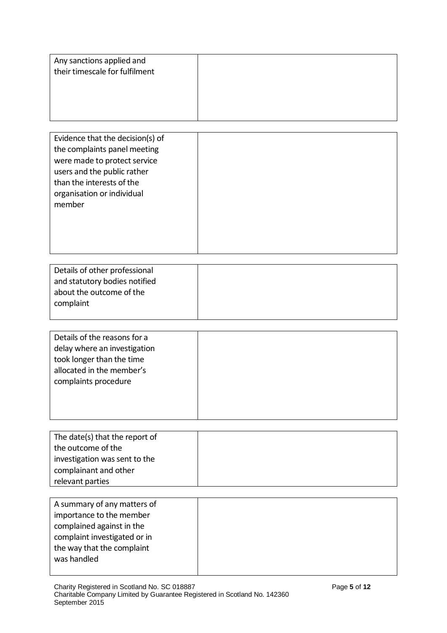| Any sanctions applied and<br>their timescale for fulfilment |
|-------------------------------------------------------------|
|-------------------------------------------------------------|

| Evidence that the decision(s) of |  |
|----------------------------------|--|
| the complaints panel meeting     |  |
| were made to protect service     |  |
| users and the public rather      |  |
| than the interests of the        |  |
| organisation or individual       |  |
| member                           |  |
|                                  |  |
|                                  |  |
|                                  |  |
|                                  |  |

| Details of other professional |  |
|-------------------------------|--|
| and statutory bodies notified |  |
|                               |  |
| about the outcome of the      |  |
|                               |  |
| complaint                     |  |
|                               |  |
|                               |  |

| Details of the reasons for a<br>delay where an investigation |  |
|--------------------------------------------------------------|--|
| took longer than the time                                    |  |
| allocated in the member's                                    |  |
| complaints procedure                                         |  |
|                                                              |  |
|                                                              |  |
|                                                              |  |

| the outcome of the            |
|-------------------------------|
| investigation was sent to the |
| complainant and other         |
| relevant parties              |

| A summary of any matters of  |  |
|------------------------------|--|
| importance to the member     |  |
| complained against in the    |  |
| complaint investigated or in |  |
| the way that the complaint   |  |
| was handled                  |  |
|                              |  |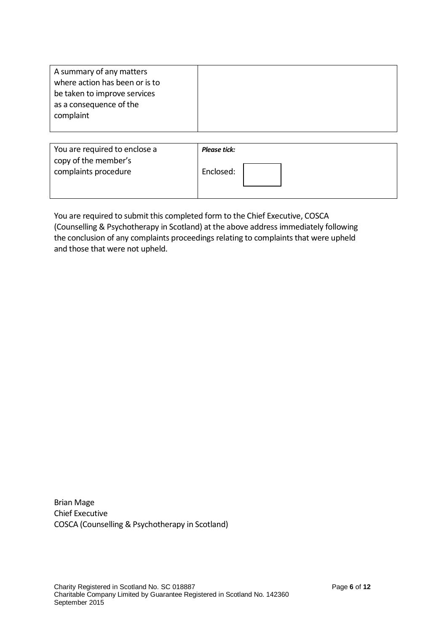| A summary of any matters<br>where action has been or is to<br>be taken to improve services<br>as a consequence of the<br>complaint |                     |
|------------------------------------------------------------------------------------------------------------------------------------|---------------------|
| You are required to enclose a                                                                                                      | <b>Please tick:</b> |
| copy of the member's                                                                                                               |                     |
| complaints procedure                                                                                                               | Enclosed:           |

You are required to submit this completed form to the Chief Executive, COSCA (Counselling & Psychotherapy in Scotland) at the above address immediately following the conclusion of any complaints proceedings relating to complaints that were upheld and those that were not upheld.

Brian Mage Chief Executive COSCA (Counselling & Psychotherapy in Scotland)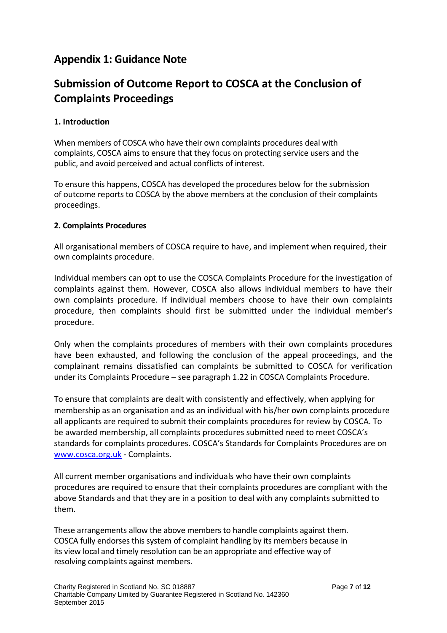# **Appendix 1: Guidance Note**

# **Submission of Outcome Report to COSCA at the Conclusion of Complaints Proceedings**

## **1. Introduction**

When members of COSCA who have their own complaints procedures deal with complaints, COSCA aims to ensure that they focus on protecting service users and the public, and avoid perceived and actual conflicts of interest.

To ensure this happens, COSCA has developed the procedures below for the submission of outcome reports to COSCA by the above members at the conclusion of their complaints proceedings.

#### **2. Complaints Procedures**

All organisational members of COSCA require to have, and implement when required, their own complaints procedure.

Individual members can opt to use the COSCA Complaints Procedure for the investigation of complaints against them. However, COSCA also allows individual members to have their own complaints procedure. If individual members choose to have their own complaints procedure, then complaints should first be submitted under the individual member's procedure.

Only when the complaints procedures of members with their own complaints procedures have been exhausted, and following the conclusion of the appeal proceedings, and the complainant remains dissatisfied can complaints be submitted to COSCA for verification under its Complaints Procedure – see paragraph 1.22 in COSCA Complaints Procedure.

To ensure that complaints are dealt with consistently and effectively, when applying for membership as an organisation and as an individual with his/her own complaints procedure all applicants are required to submit their complaints procedures for review by COSCA. To be awarded membership, all complaints procedures submitted need to meet COSCA's standards for complaints procedures. COSCA's Standards for Complaints Procedures are on [www.cosca.org.uk](http://www.cosca.org.uk/) - Complaints.

All current member organisations and individuals who have their own complaints procedures are required to ensure that their complaints procedures are compliant with the above Standards and that they are in a position to deal with any complaints submitted to them.

These arrangements allow the above members to handle complaints against them. COSCA fully endorses this system of complaint handling by its members because in its view local and timely resolution can be an appropriate and effective way of resolving complaints against members.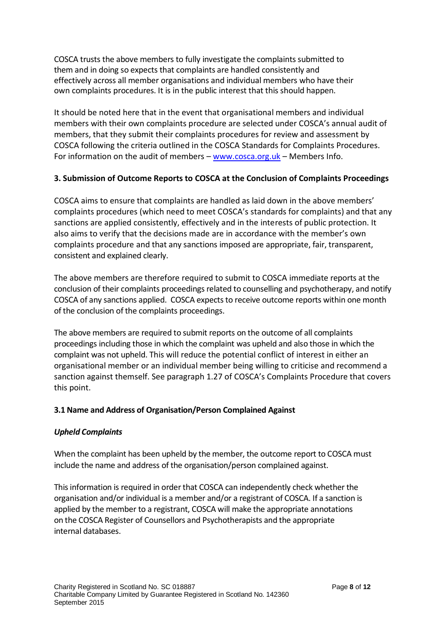COSCA trusts the above members to fully investigate the complaints submitted to them and in doing so expects that complaints are handled consistently and effectively across all member organisations and individual members who have their own complaints procedures. It is in the public interest that this should happen.

It should be noted here that in the event that organisational members and individual members with their own complaints procedure are selected under COSCA's annual audit of members, that they submit their complaints procedures for review and assessment by COSCA following the criteria outlined in the COSCA Standards for Complaints Procedures. For information on the audit of members – [www.cosca.org.uk](http://www.cosca.org.uk/) – Members Info.

# **3. Submission of Outcome Reports to COSCA at the Conclusion of Complaints Proceedings**

COSCA aims to ensure that complaints are handled as laid down in the above members' complaints procedures (which need to meet COSCA's standards for complaints) and that any sanctions are applied consistently, effectively and in the interests of public protection. It also aims to verify that the decisions made are in accordance with the member's own complaints procedure and that any sanctions imposed are appropriate, fair, transparent, consistent and explained clearly.

The above members are therefore required to submit to COSCA immediate reports at the conclusion of their complaints proceedings related to counselling and psychotherapy, and notify COSCA of any sanctions applied. COSCA expects to receive outcome reports within one month of the conclusion of the complaints proceedings.

The above members are required to submit reports on the outcome of all complaints proceedings including those in which the complaint was upheld and also those in which the complaint was not upheld. This will reduce the potential conflict of interest in either an organisational member or an individual member being willing to criticise and recommend a sanction against themself. See paragraph 1.27 of COSCA's Complaints Procedure that covers this point.

## **3.1 Name and Address of Organisation/Person Complained Against**

#### *Upheld Complaints*

When the complaint has been upheld by the member, the outcome report to COSCA must include the name and address of the organisation/person complained against.

This information is required in order that COSCA can independently check whether the organisation and/or individual is a member and/or a registrant of COSCA. If a sanction is applied by the member to a registrant, COSCA will make the appropriate annotations on the COSCA Register of Counsellors and Psychotherapists and the appropriate internal databases.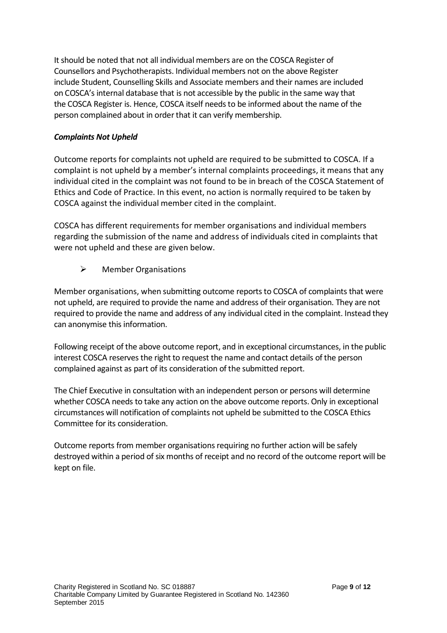It should be noted that not all individual members are on the COSCA Register of Counsellors and Psychotherapists. Individual members not on the above Register include Student, Counselling Skills and Associate members and their names are included on COSCA's internal database that is not accessible by the public in the same way that the COSCA Register is. Hence, COSCA itself needs to be informed about the name of the person complained about in order that it can verify membership.

#### *Complaints Not Upheld*

Outcome reports for complaints not upheld are required to be submitted to COSCA. If a complaint is not upheld by a member's internal complaints proceedings, it means that any individual cited in the complaint was not found to be in breach of the COSCA Statement of Ethics and Code of Practice. In this event, no action is normally required to be taken by COSCA against the individual member cited in the complaint.

COSCA has different requirements for member organisations and individual members regarding the submission of the name and address of individuals cited in complaints that were not upheld and these are given below.

Member Organisations

Member organisations, when submitting outcome reports to COSCA of complaints that were not upheld, are required to provide the name and address of their organisation. They are not required to provide the name and address of any individual cited in the complaint. Instead they can anonymise this information.

Following receipt of the above outcome report, and in exceptional circumstances, in the public interest COSCA reserves the right to request the name and contact details of the person complained against as part of its consideration of the submitted report.

The Chief Executive in consultation with an independent person or persons will determine whether COSCA needs to take any action on the above outcome reports. Only in exceptional circumstances will notification of complaints not upheld be submitted to the COSCA Ethics Committee for its consideration.

Outcome reports from member organisations requiring no further action will be safely destroyed within a period of six months of receipt and no record of the outcome report will be kept on file.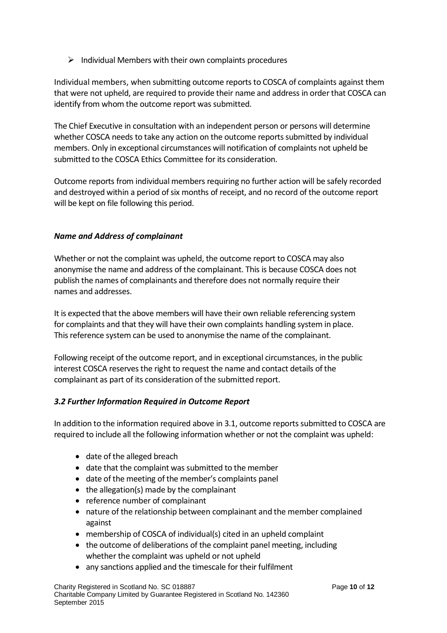$\triangleright$  Individual Members with their own complaints procedures

Individual members, when submitting outcome reports to COSCA of complaints against them that were not upheld, are required to provide their name and address in order that COSCA can identify from whom the outcome report was submitted.

The Chief Executive in consultation with an independent person or persons will determine whether COSCA needs to take any action on the outcome reports submitted by individual members. Only in exceptional circumstances will notification of complaints not upheld be submitted to the COSCA Ethics Committee for its consideration.

Outcome reports from individual members requiring no further action will be safely recorded and destroyed within a period of six months of receipt, and no record of the outcome report will be kept on file following this period.

# *Name and Address of complainant*

Whether or not the complaint was upheld, the outcome report to COSCA may also anonymise the name and address of the complainant. This is because COSCA does not publish the names of complainants and therefore does not normally require their names and addresses.

It is expected that the above members will have their own reliable referencing system for complaints and that they will have their own complaints handling system in place. This reference system can be used to anonymise the name of the complainant.

Following receipt of the outcome report, and in exceptional circumstances, in the public interest COSCA reserves the right to request the name and contact details of the complainant as part of its consideration of the submitted report.

## *3.2 Further Information Required in Outcome Report*

In addition to the information required above in 3.1, outcome reports submitted to COSCA are required to include all the following information whether or not the complaint was upheld:

- date of the alleged breach
- date that the complaint was submitted to the member
- date of the meeting of the member's complaints panel
- the allegation(s) made by the complainant
- reference number of complainant
- nature of the relationship between complainant and the member complained against
- membership of COSCA of individual(s) cited in an upheld complaint
- the outcome of deliberations of the complaint panel meeting, including whether the complaint was upheld or not upheld
- any sanctions applied and the timescale for their fulfilment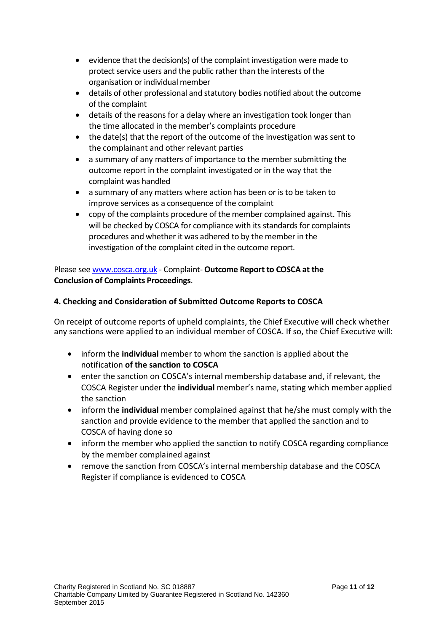- evidence that the decision(s) of the complaint investigation were made to protect service users and the public rather than the interests of the organisation or individual member
- details of other professional and statutory bodies notified about the outcome of the complaint
- details of the reasons for a delay where an investigation took longer than the time allocated in the member's complaints procedure
- the date(s) that the report of the outcome of the investigation was sent to the complainant and other relevant parties
- a summary of any matters of importance to the member submitting the outcome report in the complaint investigated or in the way that the complaint was handled
- a summary of any matters where action has been or is to be taken to improve services as a consequence of the complaint
- copy of the complaints procedure of the member complained against. This will be checked by COSCA for compliance with its standards for complaints procedures and whether it was adhered to by the member in the investigation of the complaint cited in the outcome report.

Please see [www.cosca.org.uk](http://www.cosca.org.uk/) - Complaint- **Outcome Report to COSCA at the Conclusion of Complaints Proceedings**.

# **4. Checking and Consideration of Submitted Outcome Reports to COSCA**

On receipt of outcome reports of upheld complaints, the Chief Executive will check whether any sanctions were applied to an individual member of COSCA. If so, the Chief Executive will:

- inform the **individual** member to whom the sanction is applied about the notification **of the sanction to COSCA**
- enter the sanction on COSCA's internal membership database and, if relevant, the COSCA Register under the **individual** member's name, stating which member applied the sanction
- inform the **individual** member complained against that he/she must comply with the sanction and provide evidence to the member that applied the sanction and to COSCA of having done so
- inform the member who applied the sanction to notify COSCA regarding compliance by the member complained against
- remove the sanction from COSCA's internal membership database and the COSCA Register if compliance is evidenced to COSCA